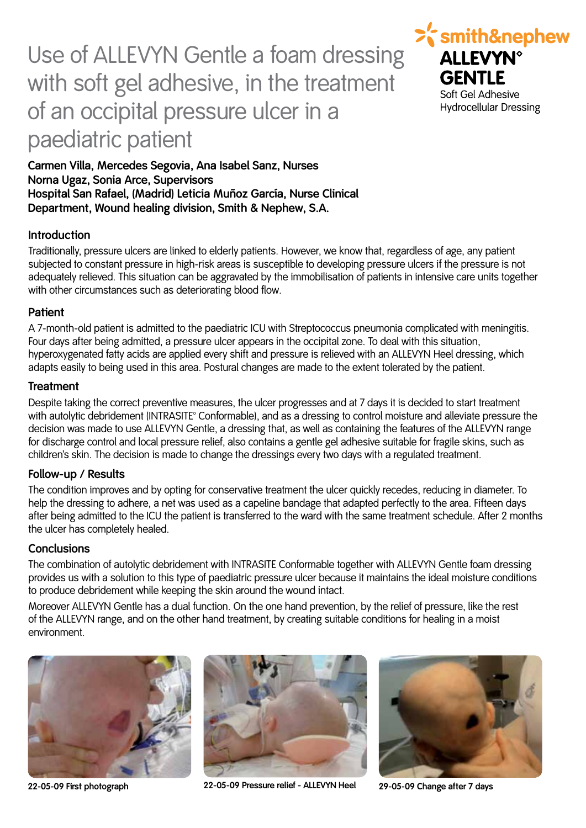# Use of ALLEVYN Gentle a foam dressing with soft gel adhesive, in the treatment of an occipital pressure ulcer in a paediatric patient



**Carmen Villa, Mercedes Segovia, Ana Isabel Sanz, Nurses Norna Ugaz, Sonia Arce, Supervisors Hospital San Rafael, (Madrid) Leticia Muñoz García, Nurse Clinical Department, Wound healing division, Smith & Nephew, S.A.**

### **Introduction**

Traditionally, pressure ulcers are linked to elderly patients. However, we know that, regardless of age, any patient subjected to constant pressure in high-risk areas is susceptible to developing pressure ulcers if the pressure is not adequately relieved. This situation can be aggravated by the immobilisation of patients in intensive care units together with other circumstances such as deteriorating blood flow.

#### **Patient**

A 7-month-old patient is admitted to the paediatric ICU with Streptococcus pneumonia complicated with meningitis. Four days after being admitted, a pressure ulcer appears in the occipital zone. To deal with this situation, hyperoxygenated fatty acids are applied every shift and pressure is relieved with an ALLEVYN Heel dressing, which adapts easily to being used in this area. Postural changes are made to the extent tolerated by the patient.

#### **Treatment**

Despite taking the correct preventive measures, the ulcer progresses and at 7 days it is decided to start treatment with autolytic debridement (INTRASITE<sup>®</sup> Conformable), and as a dressing to control moisture and alleviate pressure the decision was made to use ALLEVYN Gentle, a dressing that, as well as containing the features of the ALLEVYN range for discharge control and local pressure relief, also contains a gentle gel adhesive suitable for fragile skins, such as children's skin. The decision is made to change the dressings every two days with a regulated treatment.

#### **Follow-up / Results**

The condition improves and by opting for conservative treatment the ulcer quickly recedes, reducing in diameter. To help the dressing to adhere, a net was used as a capeline bandage that adapted perfectly to the area. Fifteen days after being admitted to the ICU the patient is transferred to the ward with the same treatment schedule. After 2 months the ulcer has completely healed.

#### **Conclusions**

The combination of autolytic debridement with INTRASITE Conformable together with ALLEVYN Gentle foam dressing provides us with a solution to this type of paediatric pressure ulcer because it maintains the ideal moisture conditions to produce debridement while keeping the skin around the wound intact.

Moreover ALLEVYN Gentle has a dual function. On the one hand prevention, by the relief of pressure, like the rest of the ALLEVYN range, and on the other hand treatment, by creating suitable conditions for healing in a moist environment.





**22-05-09 First photograph 22-05-09 Pressure relief - ALLEVYN Heel 29-05-09 Change after 7 days**